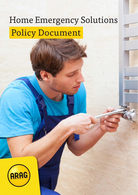# Home Emergency Solutions Policy Document

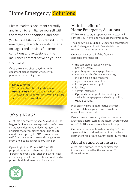# Home Emergency Solutions

Please read this document carefully and in full to familiarise yourself with the terms and conditions, and how you can contact us if you have a home emergency. The policy wording starts on page 3 and provides full terms, conditions and exclusions of the insurance contract between you and the insurer.

If you are unsure about anything in this document please contact whoever you purchased your policy from.

Make a claim

To claim under this policy telephone 0344 571 5193 (lines are open 24 hours a day, 365 days a year). For more information, please see the 'Claims procedure'.

# Who is ARAG?

ARAG plc is part of the global ARAG Group, the largest family-owned enterprise in the German insurance industry. Founded in 1935, on the principle that every citizen should be able to assert their legal rights, ARAG now employs 4,000 people around the world and generates premium income in excess of €1.8 billion.

Operating in the UK since 2006, ARAG plc provides a comprehensive suite of "before-the-event" and "after-the-event" legal insurance products and assistance solutions to protect both businesses and individuals.



# Main benefits of Home Emergency Solutions

With one call to us, an approved contractor will come to your home and make emergency repairs.

The policy will pay up to £1,000 for all contractor's costs & charges and parts & materials used relating to the same emergency.

Our cover includes all of the following domestic emergencies:

- the complete breakdown of your heating system
- plumbing and drainage problems
- damage which affects your security, including locks and windows
- if your only toilet is broken<br>• loss of your nower supply
- loss of your power supply
- lost keys
- vermin infestation
- **Optional** annual gas boiler servicing is available on a pay-per-use basis by calling 0330 303 1319.

In addition we provide alternative overnight accommodation if your home is unsafe or uncomfortable to stay in.

If your home is powered by a biomass boiler or anaerobic digester system, the insurer will reimburse up to £1,000 for your own contractor to help.

Our service is available 24 hours a day, 365 days a year and for additional peace of mind all our permanent repairs are guaranteed for 12 months.

# About us and your insurer

ARAG plc is authorised to administer this insurance on behalf of the insurer AmTrust Europe Limited.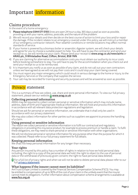# Important information

# Claims procedure

In the event of a home emergency:

- Please telephone 0344 571 5193 (lines are open 24 hours a day, 365 days a year) as soon as possible, providing us with your name, address, postcode, and the nature of the problem.
- 2) We will record your details and then decide on the best course of action to limit your loss and/or repair the damage. If the incident relates to an emergency covered under this policy, we will instruct a member of our emergency contractor network. Poor weather conditions or remote locations may affect normal standards of service.
- 3) If your home is powered by a biomass boiler or anaerobic digester system, we will check your details and agree for you to choose a suitable expert to help. You will have to pay the contractor and send your receipt to us, we will reimburse your claim. Please send your receipt to **www.arag.co.uk/newclaims** or ARAG plc, 9 Whiteladies Road, Clifton, Bristol, BS8 1NN.
- 4) If you are claiming for alternative accommodation costs you must obtain our authority to incur costs before booking somewhere to stay. You will have to pay for the accommodation when you check out and send your receipt to us to be reimbursed.
- 5) It is important you notify us as soon as possible of any claim, and do not call out your own contractors unless we have agreed as we will not pay their costs and it could stop your claim being covered.
- 6) You must report any major emergency which could result in serious damage to the home or injury, to the Emergency Services or the company that supplies the service.
- 7) Your call may be recorded for training and security purposes and will be answered as soon as possible.

# Privacy statement

This is a summary of how we collect, use, share and store personal information. To view our full privacy statement, please see our website www.arag.co.uk

# Collecting personal information

ARAG may be required to collect certain personal or sensitive information which may include name, address, date of birth and if appropriate medical information. We will hold and process this information in accordance with all relevant data protection regulations and legislation.

Should we ask for personal or sensitive information, we undertake that it shall only be used in accordance with our privacy statement.

We may also collect information for other parties such as suppliers we appoint to process the handling of a claim.

### Using personal or sensitive information

The reason we collect personal or sensitive information is to fulfil our contractual and regulatory obligations in providing this insurance product, for example to process premium or handle a claim. To fulfil these obligations, we may need to share personal or sensitive information with other organisations. We will not disclose personal or sensitive information for any purpose other than the purpose for which it was collected. Please refer to our full privacy statement for full details.

### Keeping personal information

We shall not keep personal information for any longer than necessary.

### Your rights

Any person insured by this policy has a number of rights in relation to how we hold personal data including; the right to a copy of the personal data we hold; the right to object to the use of personal data or the withdrawal of previously given consent; the right to have personal data deleted.

**O** For a full list of privacy rights and when we will not be able to delete personal data please refer to our full privacy statement.

### What happens if the insurer cannot meet its liabilities?

AmTrust Europe Limited is covered by the Financial Services Compensation Scheme (FSCS). You may be entitled to compensation of up to 90% of the cost of your claim in the unlikely event that the insurer cannot meet its obligations. Further information about compensation scheme arrangements is available at www.fscs.org.uk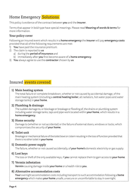# Home Emergency Solutions

This policy is evidence of the contract between you and the insurer.

Terms that appear in bold type have special meanings. Please read Meaning of words & terms for more information.

# Your policy cover

Following an Insured event which results in a **home emergency** the **insurer** will pay **emergency costs** provided that all of the following requirements are met:

- 1) You have paid the insurance premium.
- 2) The claim is reported to  $us$ 
	- a) during the **period of insurance** and
	- b) immediately after you first become aware of a home emergency.
- 3) You always agree to use the contractor chosen by us.

# Insured events covered

# 1) Main heating system

 The total failure or complete breakdown, whether or not caused by accidental damage, of the main heating system (including a **central heating boiler**, all radiators, hot water pipes and water storage tanks) in **your home**.

# 2) Plumbing & drainage

 The sudden damage to, or blockage or breakage or flooding of, the drains or plumbing system including water storage tanks, taps and pipe-work located within your home, which results in a home emergency.

### 3) Home security

 Damage to (whether or not accidental) or the failure of external doors, windows or locks; which compromises the security of **vour home**.

# 4) Toilet unit

Breakage or mechanical failure of the toilet bowl or cistern resulting in the loss of function provided that there is no other toilet in your home.

### 5) Domestic power supply

The failure, whether or not caused accidentally, of your home's domestic electricity or gas supply.

### 6) Lost keys

The loss or theft of the only available keys, if you cannot replace them to gain access to your home.

### 7) Vermin infestation

Vermin causing damage inside your home or a health risk to you.

### 8) Alternative accommodation costs

Your overnight accommodation costs including transport to such accommodation following a home emergency which makes your home unsafe, unsecure or uncomfortable to stay in overnight.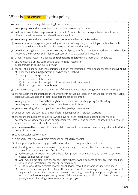# What is **not covered** by this policy

| You are not covered for any claim arising from or relating to: |                                                                                                                                                                                                                                                                                                                                                                                                                                                                                                     |
|----------------------------------------------------------------|-----------------------------------------------------------------------------------------------------------------------------------------------------------------------------------------------------------------------------------------------------------------------------------------------------------------------------------------------------------------------------------------------------------------------------------------------------------------------------------------------------|
| $\left( \begin{array}{c} 1 \end{array} \right)$                | emergency costs which have been incurred before we accept a claim                                                                                                                                                                                                                                                                                                                                                                                                                                   |
|                                                                | 2) an Insured event which happens within the first 48 hours of cover if you purchase this policy at a<br>different date from any other related insurance policy                                                                                                                                                                                                                                                                                                                                     |
| 3)                                                             | emergency costs where there is no one at home when the contractor arrives                                                                                                                                                                                                                                                                                                                                                                                                                           |
|                                                                | 4) any matter occurring prior to, or existing at the start of the policy, and which you believed or ought<br>reasonably to have believed could give rise to a claim under this policy                                                                                                                                                                                                                                                                                                               |
| 5)                                                             | any wilful or negligent act or omission or any third party interference or faulty workmanship which does<br>not comply with recognised industry standards or manufacturer's instructions                                                                                                                                                                                                                                                                                                            |
| 6)                                                             | a main heating system (including a central heating boiler) which is more than 15 years old                                                                                                                                                                                                                                                                                                                                                                                                          |
| 7)                                                             | a) LPG fuelled, oil fired, warm air and solar heating systems; or<br>b) boilers with an output over 60Kw/hr                                                                                                                                                                                                                                                                                                                                                                                         |
| 8)                                                             | the cost of making permanent repairs including any redecoration or making good the fabric of your home<br>a) once the <b>home emergency</b> situation has been resolved<br>b) arising from damage caused:                                                                                                                                                                                                                                                                                           |
|                                                                | i) in the course of the repair or<br>ii) in the course of investigation of the cause of the Insured event or<br>iii) in gaining access to your home                                                                                                                                                                                                                                                                                                                                                 |
|                                                                | 9) the interruption, failure or disconnection of the mains electricity, mains gas or mains water supply                                                                                                                                                                                                                                                                                                                                                                                             |
|                                                                | 10) the replacement of parts that suffer damage or the gradual process of wear and tear over time (such as<br>dripping taps, washers or discs forming part of a tank pipe or tap)                                                                                                                                                                                                                                                                                                                   |
|                                                                | 11) your garage (except a central heating boiler located in a connecting garage) outbuildings,<br>boundary walls, fences, hedges, cess pit, fuel tank or septic tank                                                                                                                                                                                                                                                                                                                                |
|                                                                | 12) your home being left unoccupied for more than 30 days consecutively                                                                                                                                                                                                                                                                                                                                                                                                                             |
|                                                                | 13) goods or materials covered by a manufacturer's, supplier's or installer's warranty                                                                                                                                                                                                                                                                                                                                                                                                              |
|                                                                | 14) the failure of equipment or facilities which have not been installed, maintained or serviced in<br>accordance with legal regulations or manufacturer's instructions, or which is caused by a design fault<br>which makes them inadequate or unfit for use                                                                                                                                                                                                                                       |
|                                                                | 15) a claim covered by another policy, or any claim that would have been covered by any other policy if this<br>policy did not exist                                                                                                                                                                                                                                                                                                                                                                |
|                                                                | 16) subsidence, landslip or heave                                                                                                                                                                                                                                                                                                                                                                                                                                                                   |
|                                                                | 17) a property that is not your main residence or that you rent or let                                                                                                                                                                                                                                                                                                                                                                                                                              |
|                                                                | 18) blockage of supply or waste pipes to the home due to freezing weather conditions                                                                                                                                                                                                                                                                                                                                                                                                                |
|                                                                | 19) a) ionising radiations or contamination by radioactivity from any nuclear fuel or from any nuclear<br>waste from the combustion of nuclear fuel<br>b) radioactive, toxic, explosive or other hazardous properties of any explosive nuclear assembly or<br>nuclear component thereof                                                                                                                                                                                                             |
|                                                                | c) war, invasion, act of foreign enemy hostilities (whether war is declared or not), civil war, rebellion,<br>revolution, insurrection or military or usurped power                                                                                                                                                                                                                                                                                                                                 |
|                                                                | d) pressure waves from aircrafts or other aerial devices travelling at sonic or supersonic speed<br>any terrorist action (regardless of any other cause or event contributing concurrently or in any other<br>e)<br>sequence to the liability) or any action taken in controlling, preventing or suppressing terrorist<br>action. If the insurer alleges that by reason of this exclusion any liability or loss is not covered by this<br>policy, burden of proving the contrary shall be upon you. |
|                                                                |                                                                                                                                                                                                                                                                                                                                                                                                                                                                                                     |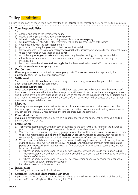# Policy conditions

Failure to keep any of these conditions may lead the insurer to cancel your policy, or refuse to pay a claim.

#### ÷ 1. Your Responsibilities

#### You must:

- a) observe and keep to the terms of the policy
- b) not do anything that hinders  $us$  or the contractor
- $\overrightarrow{c}$  tell us immediately after first becoming aware of any **home emergency**
- $\overrightarrow{d}$  tell us immediately of anything that may materially alter our assessment of the claim
- $\dot{\textbf{e}}$  cooperate fully with the **contractor** and **us**
- f) provide us with everything we need to help us handle the claim
- g) take reasonable steps to recover emergency costs that the insurer pays and pay to the insurer all costs that are recovered should these be paid to you
- 
- h) minimise any **emergency costs** and try to prevent anything happening that may cause a claim<br>i) allow the **insurer** at any time to take over and conduct in **your** name any claim, proceedings or allow the **insurer** at any time to take over and conduct in **your** name any claim, proceedings or investigation
- be able to prove that the **central heating boiler** has been serviced within the 12 months prior to the date of your home emergency claim.

#### 2. Our Consent

We must give you our consent to incur emergency costs. The insurer does not accept liability for emergency costs incurred without our consent.

#### 3. Settlement

You must not settle the contractor's invoice or agree to pay emergency costs that you wish to claim for under this policy without our agreement.

#### Call out and labour costs

When settling contractor's call out charge and labour costs, unless stated otherwise on the contractor's invoice we will determine that the call out charge covers the cost of the contractor attending your home and disallows any time spent diagnosing the fault which has caused the Insured event. Any inspection time that is required to trace, access or identify the cause of the Insured event will be settled on the basis that the time is charged as labour costs.

#### 4. Disputes

If any dispute between you and us arises from this policy, you can make a complaint to us as described on the back page of this policy and we will try to resolve the matter. If we are unable to satisfy your concerns you can ask the Financial Ombudsman Service to arbitrate over the complaint.

#### 5. Fraudulent Claims

If you make any claim under the policy which is fraudulent or false, the policy shall become void and all benefit under it will be lost.

#### 6. Cancellation

- a) You may cancel the policy within 14 days of purchasing the cover with a full refund of the insurance premium paid provided that **you** have not made a claim which has been accepted.
- b) You may cancel this policy at any time by giving at least 21 days' written notice to us. The insurer will refund the premium for the remaining **period of insurance** unless you have notified a claim which has been or is subsequently accepted under this policy in which case no refund of premium shall be allowed.
- c) Where there is a valid reason for doing so, the **insurer** has the right to cancel the policy at any time by giving at least 21 days' written notice to you. The insurer will refund the premium for the remaining period of insurance. We will set out the reason for cancellation in writing. Valid reasons may include but are not limited to:
	- i) where the party claiming under this policy fails to cooperate with or provide information to **us** or the contractor in a way that materially affects our ability to process a claim, or our ability to defend the insurer's interests
	- ii) where the party claiming under this policy uses threatening or abusive behaviour or language, or intimidates or bullies **our** staff or suppliers
	- iii) where **we** reasonably suspect fraud.

#### 7. Jurisdiction

This policy will be governed by English Law.

#### 8. Contracts (Rights of Third Parties) Act 1999

 A person who is not party to this contract has no right to enforce the terms and conditions of this policy under the Contracts (Rights of Third Parties) Act 1999.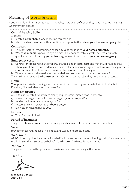# Meaning of words & terms

Certain words and terms contained in this policy have been defined as they have the same meaning wherever they appear.

# Central heating boiler

A boiler:

- a) located in **your home** (or connecting garage), and
- b) which has been serviced within the 12 months prior to the date of **vour home emergency** claim.

## Contractor

- a) The contractor or tradesperson chosen by us to respond to your home emergency.
- b) Where **your home** is powered by a biomass boiler or anaerobic digester system, a suitably qualified expert chosen by you with our agreement to respond to your home emergency.

#### Emergency costs

- a) Contractor's reasonable and properly charged labour costs, parts and materials provided that where your home is powered by a biomass boiler or anaerobic digester system, you must pay the contractor and send the receipt to us for the insurer to reimburse you.
- b) Where necessary, alternative accommodation costs incurred under Insured event 8.

The maximum payable by the **insurer** is £1,000 for all claims related by time or original cause.

### Home

Your principal private dwelling used for domestic purposes only and situated within the United Kingdom, Channel Islands and the Isle of Man.

### Home emergency

A sudden unexpected event which clearly requires immediate action in order to:

- a) prevent damage or avoid further damage to your home, and/or
- b) render the **home** safe or secure, and/or
- c) restore the main services to the home, and/or
- d) alleviate any health risk to vou.

### Insurer

AmTrust Europe Limited.

### Period of insurance

The period shown in your main insurance policy taken out at the same time as this policy.

# Vermin

Brown or black rats, house or field mice, and wasps' or hornets' nests.

# We/us/our

ARAG plc (or appointed agents on its behalf) who is authorised under a binding authority agreement to administer this insurance on behalf of the **insurer**. AmTrust Europe Limited.

# You/your

The person to whom this policy has been issued and anyone living in the **home**.

Signed by

Managing Director ARAG plc